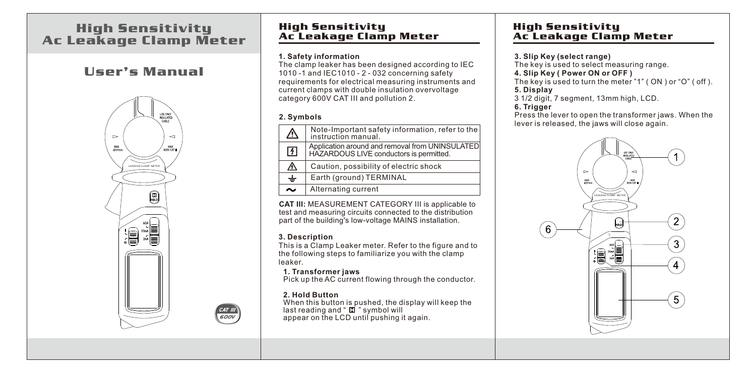# High Sensitivity Ac Leakage Clamp Meter

# User's Manual



# High Sensitivity Ac Leakage Clamp Meter

#### **1. Safety information**

The clamp leaker has been designed according to IEC 1010 -1 and IEC1010 - 2 - 032 concerning safety requirements for electrical measuring instruments and current clamps with double insulation overvoltage category 600V CAT III and pollution 2.

#### **2. Symbols**

| $\bigtriangleup$ | Note-Important safety information, refer to the<br>instruction manual.                     |  |
|------------------|--------------------------------------------------------------------------------------------|--|
| $\sqrt{4}$       | Application around and removal from UNINSULATED<br>HAZARDOUS LIVE conductors is permitted. |  |
| ⚠                | Caution, possibility of electric shock                                                     |  |
| $\div$           | Earth (ground) TERMINAL                                                                    |  |
| $\sim$           | Alternating current                                                                        |  |

**CAT III:** MEASUREMENT CATEGORY III is applicable to test and measuring circuits connected to the distribution part of the building's low-voltage MAINS installation.

#### **3. Description**

This is a Clamp Leaker meter. Refer to the figure and to the following steps to familiarize you with the clamp leaker.

#### **1. Transformer jaws**

Pick up the AC current flowing through the conductor.

#### **2. Hold Button**

CAT III<br>600V

When this button is pushed, the display will keep the last reading and " $\Box$ " symbol will appear on the LCD until pushing it again.

## High Sensitivity Ac Leakage Clamp Meter

#### **3. Slip Key (select range)**

The key is used to select measuring range.

#### **4. Slip Key ( Power ON or OFF )**

The key is used to turn the meter "1" ( ON ) or "O" ( off ). **5. Display**

3 1/2 digit, 7 segment, 13mm high, LCD.

#### **6. Trigger**

Press the lever to open the transformer jaws. When the lever is released, the jaws will close again.